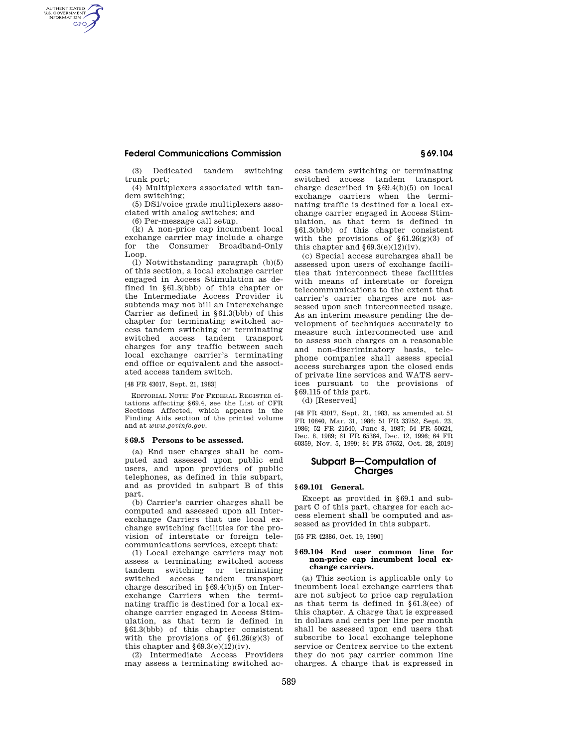# **Federal Communications Commission § 69.104**

(3) Dedicated tandem switching trunk port;

(4) Multiplexers associated with tandem switching;

(5) DS1/voice grade multiplexers associated with analog switches; and

(6) Per-message call setup.

AUTHENTICATED<br>U.S. GOVERNMENT<br>INFORMATION **GPO** 

> (k) A non-price cap incumbent local exchange carrier may include a charge for the Consumer Broadband-Only Loop.

> (l) Notwithstanding paragraph (b)(5) of this section, a local exchange carrier engaged in Access Stimulation as defined in §61.3(bbb) of this chapter or the Intermediate Access Provider it subtends may not bill an Interexchange Carrier as defined in §61.3(bbb) of this chapter for terminating switched access tandem switching or terminating switched access tandem transport charges for any traffic between such local exchange carrier's terminating end office or equivalent and the associated access tandem switch.

[48 FR 43017, Sept. 21, 1983]

EDITORIAL NOTE: For FEDERAL REGISTER citations affecting §69.4, see the List of CFR Sections Affected, which appears in the Finding Aids section of the printed volume and at *www.govinfo.gov.* 

### **§ 69.5 Persons to be assessed.**

(a) End user charges shall be computed and assessed upon public end users, and upon providers of public telephones, as defined in this subpart, and as provided in subpart B of this part.

(b) Carrier's carrier charges shall be computed and assessed upon all Interexchange Carriers that use local exchange switching facilities for the provision of interstate or foreign telecommunications services, except that:

(1) Local exchange carriers may not assess a terminating switched access tandem switching or terminating switched access tandem transport charge described in §69.4(b)(5) on Interexchange Carriers when the terminating traffic is destined for a local exchange carrier engaged in Access Stimulation, as that term is defined in §61.3(bbb) of this chapter consistent with the provisions of  $§61.26(g)(3)$  of this chapter and  $§69.3(e)(12)(iv)$ .

(2) Intermediate Access Providers may assess a terminating switched access tandem switching or terminating switched access tandem transport charge described in §69.4(b)(5) on local exchange carriers when the terminating traffic is destined for a local exchange carrier engaged in Access Stimulation, as that term is defined in §61.3(bbb) of this chapter consistent with the provisions of  $$61.26(g)(3)$  of this chapter and  $$69.3(e)(12)(iv)$ .

(c) Special access surcharges shall be assessed upon users of exchange facilities that interconnect these facilities with means of interstate or foreign telecommunications to the extent that carrier's carrier charges are not assessed upon such interconnected usage. As an interim measure pending the development of techniques accurately to measure such interconnected use and to assess such charges on a reasonable and non-discriminatory basis, telephone companies shall assess special access surcharges upon the closed ends of private line services and WATS services pursuant to the provisions of §69.115 of this part.

(d) [Reserved]

[48 FR 43017, Sept. 21, 1983, as amended at 51 FR 10840, Mar. 31, 1986; 51 FR 33752, Sept. 23, 1986; 52 FR 21540, June 8, 1987; 54 FR 50624, Dec. 8, 1989; 61 FR 65364, Dec. 12, 1996; 64 FR 60359, Nov. 5, 1999; 84 FR 57652, Oct. 28, 2019]

## **Subpart B—Computation of Charges**

### **§ 69.101 General.**

Except as provided in §69.1 and subpart C of this part, charges for each access element shall be computed and assessed as provided in this subpart.

[55 FR 42386, Oct. 19, 1990]

#### **§ 69.104 End user common line for non-price cap incumbent local exchange carriers.**

(a) This section is applicable only to incumbent local exchange carriers that are not subject to price cap regulation as that term is defined in §61.3(ee) of this chapter. A charge that is expressed in dollars and cents per line per month shall be assessed upon end users that subscribe to local exchange telephone service or Centrex service to the extent they do not pay carrier common line charges. A charge that is expressed in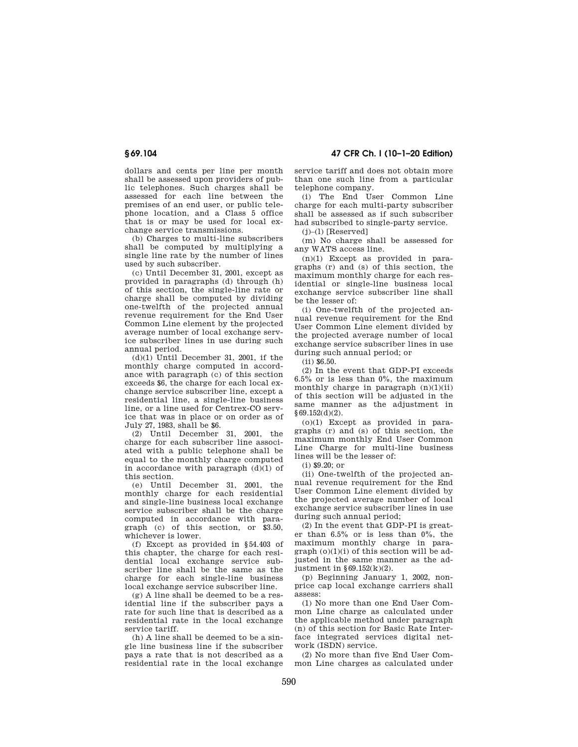dollars and cents per line per month shall be assessed upon providers of public telephones. Such charges shall be assessed for each line between the premises of an end user, or public telephone location, and a Class 5 office that is or may be used for local exchange service transmissions.

(b) Charges to multi-line subscribers shall be computed by multiplying a single line rate by the number of lines used by such subscriber.

(c) Until December 31, 2001, except as provided in paragraphs (d) through (h) of this section, the single-line rate or charge shall be computed by dividing one-twelfth of the projected annual revenue requirement for the End User Common Line element by the projected average number of local exchange service subscriber lines in use during such annual period.

 $(d)(1)$  Until December 31, 2001, if the monthly charge computed in accordance with paragraph (c) of this section exceeds \$6, the charge for each local exchange service subscriber line, except a residential line, a single-line business line, or a line used for Centrex-CO service that was in place or on order as of July 27, 1983, shall be \$6.

(2) Until December 31, 2001, the charge for each subscriber line associated with a public telephone shall be equal to the monthly charge computed in accordance with paragraph  $(d)(1)$  of this section.

(e) Until December 31, 2001, the monthly charge for each residential and single-line business local exchange service subscriber shall be the charge computed in accordance with paragraph (c) of this section, or \$3.50, whichever is lower.

(f) Except as provided in §54.403 of this chapter, the charge for each residential local exchange service subscriber line shall be the same as the charge for each single-line business local exchange service subscriber line.

(g) A line shall be deemed to be a residential line if the subscriber pays a rate for such line that is described as a residential rate in the local exchange service tariff.

(h) A line shall be deemed to be a single line business line if the subscriber pays a rate that is not described as a residential rate in the local exchange

**§ 69.104 47 CFR Ch. I (10–1–20 Edition)** 

service tariff and does not obtain more than one such line from a particular telephone company.

(i) The End User Common Line charge for each multi-party subscriber shall be assessed as if such subscriber had subscribed to single-party service.

 $(j)$ – $(l)$  [Reserved]

(m) No charge shall be assessed for any WATS access line.

(n)(1) Except as provided in paragraphs (r) and (s) of this section, the maximum monthly charge for each residential or single-line business local exchange service subscriber line shall be the lesser of:

(i) One-twelfth of the projected annual revenue requirement for the End User Common Line element divided by the projected average number of local exchange service subscriber lines in use during such annual period; or

(ii) \$6.50.

(2) In the event that GDP-PI exceeds  $6.5\%$  or is less than  $0\%$ , the maximum monthly charge in paragraph  $(n)(1)(ii)$ of this section will be adjusted in the same manner as the adjustment in §69.152(d)(2).

(o)(1) Except as provided in paragraphs (r) and (s) of this section, the maximum monthly End User Common Line Charge for multi-line business lines will be the lesser of:

(i) \$9.20; or

(ii) One-twelfth of the projected annual revenue requirement for the End User Common Line element divided by the projected average number of local exchange service subscriber lines in use during such annual period;

(2) In the event that GDP-PI is greater than 6.5% or is less than 0%, the maximum monthly charge in para $graph (o)(1)(i)$  of this section will be adjusted in the same manner as the adjustment in  $$69.152(k)(2)$ .

(p) Beginning January 1, 2002, nonprice cap local exchange carriers shall assess:

(1) No more than one End User Common Line charge as calculated under the applicable method under paragraph (n) of this section for Basic Rate Interface integrated services digital network (ISDN) service.

(2) No more than five End User Common Line charges as calculated under